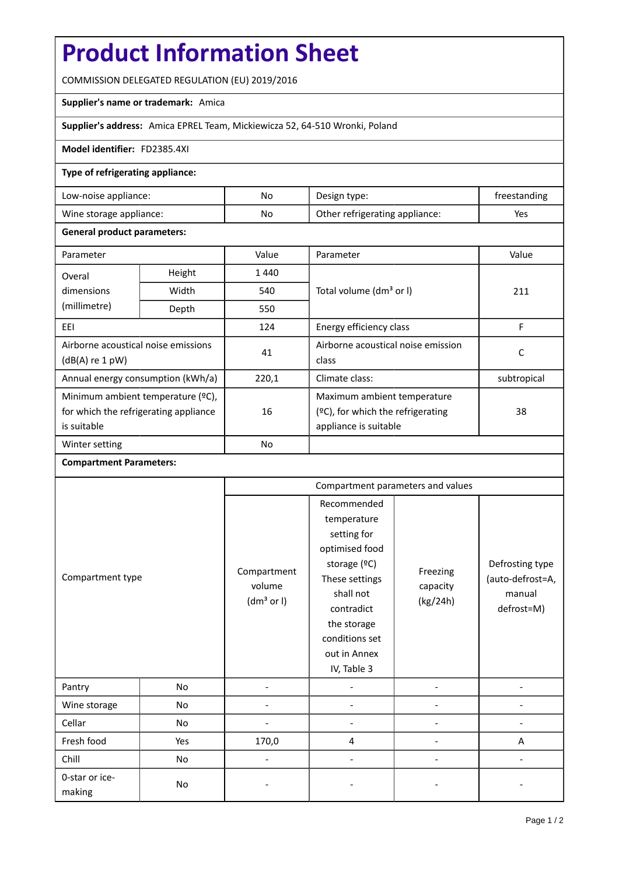# **Product Information Sheet**

COMMISSION DELEGATED REGULATION (EU) 2019/2016

# **Supplier's name or trademark:** Amica

# **Supplier's address:** Amica EPREL Team, Mickiewicza 52, 64-510 Wronki, Poland

#### **Model identifier:** FD2385.4XI

## **Type of refrigerating appliance:**

| Low-noise appliance:    | No | Design type:                   | treestanding |
|-------------------------|----|--------------------------------|--------------|
| Wine storage appliance: | No | Other refrigerating appliance: | Yes          |

### **General product parameters:**

| Parameter                             |                | Value     | Parameter                            | Value       |
|---------------------------------------|----------------|-----------|--------------------------------------|-------------|
| Overal                                | Height<br>1440 |           |                                      |             |
| dimensions                            | Width          | 540       | Total volume (dm <sup>3</sup> or I)  | 211         |
| (millimetre)                          | Depth          | 550       |                                      |             |
| EEI                                   |                | 124       | Energy efficiency class              | F           |
| Airborne acoustical noise emissions   |                | 41        | Airborne acoustical noise emission   | C           |
| $(dB(A)$ re 1 pW)                     |                |           | class                                |             |
| Annual energy consumption (kWh/a)     |                | 220,1     | Climate class:                       | subtropical |
| Minimum ambient temperature (°C),     |                |           | Maximum ambient temperature          |             |
| for which the refrigerating appliance |                | 16        | $(2C)$ , for which the refrigerating | 38          |
| is suitable                           |                |           | appliance is suitable                |             |
| Winter setting                        |                | <b>No</b> |                                      |             |

#### **Compartment Parameters:**

| Compartment type         |     | Compartment parameters and values               |                                                                                                                                                                                          |                                  |                                                             |
|--------------------------|-----|-------------------------------------------------|------------------------------------------------------------------------------------------------------------------------------------------------------------------------------------------|----------------------------------|-------------------------------------------------------------|
|                          |     | Compartment<br>volume<br>(dm <sup>3</sup> or I) | Recommended<br>temperature<br>setting for<br>optimised food<br>storage (°C)<br>These settings<br>shall not<br>contradict<br>the storage<br>conditions set<br>out in Annex<br>IV, Table 3 | Freezing<br>capacity<br>(kg/24h) | Defrosting type<br>(auto-defrost=A,<br>manual<br>defrost=M) |
| Pantry                   | No  |                                                 |                                                                                                                                                                                          |                                  |                                                             |
| Wine storage             | No  |                                                 |                                                                                                                                                                                          |                                  |                                                             |
| Cellar                   | No  |                                                 |                                                                                                                                                                                          |                                  |                                                             |
| Fresh food               | Yes | 170,0                                           | 4                                                                                                                                                                                        |                                  | Α                                                           |
| Chill                    | No  |                                                 |                                                                                                                                                                                          |                                  |                                                             |
| 0-star or ice-<br>making | No  |                                                 |                                                                                                                                                                                          |                                  |                                                             |